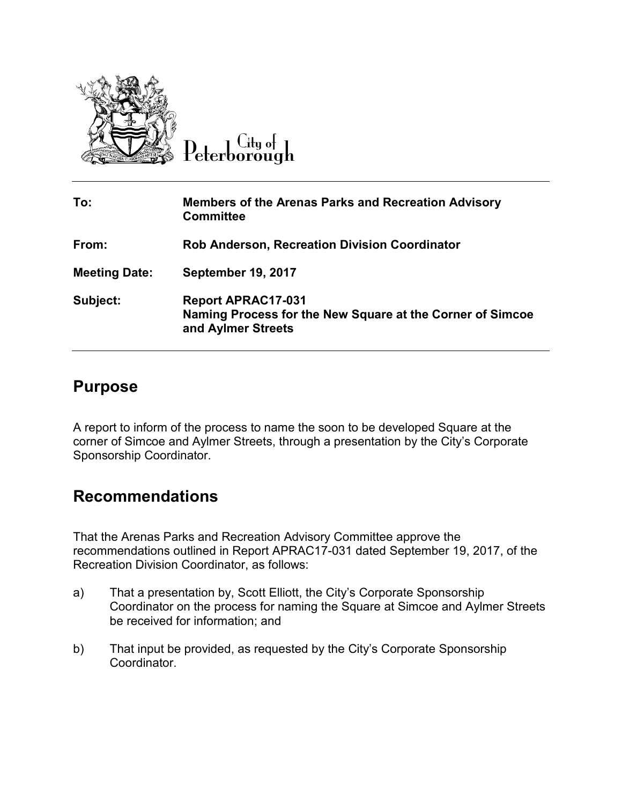

 $C$ ity of Peterborough

| To:                  | <b>Members of the Arenas Parks and Recreation Advisory</b><br><b>Committee</b>                               |
|----------------------|--------------------------------------------------------------------------------------------------------------|
| From:                | <b>Rob Anderson, Recreation Division Coordinator</b>                                                         |
| <b>Meeting Date:</b> | <b>September 19, 2017</b>                                                                                    |
| Subject:             | <b>Report APRAC17-031</b><br>Naming Process for the New Square at the Corner of Simcoe<br>and Aylmer Streets |

## **Purpose**

A report to inform of the process to name the soon to be developed Square at the corner of Simcoe and Aylmer Streets, through a presentation by the City's Corporate Sponsorship Coordinator.

## **Recommendations**

That the Arenas Parks and Recreation Advisory Committee approve the recommendations outlined in Report APRAC17-031 dated September 19, 2017, of the Recreation Division Coordinator, as follows:

- a) That a presentation by, Scott Elliott, the City's Corporate Sponsorship Coordinator on the process for naming the Square at Simcoe and Aylmer Streets be received for information; and
- b) That input be provided, as requested by the City's Corporate Sponsorship Coordinator.